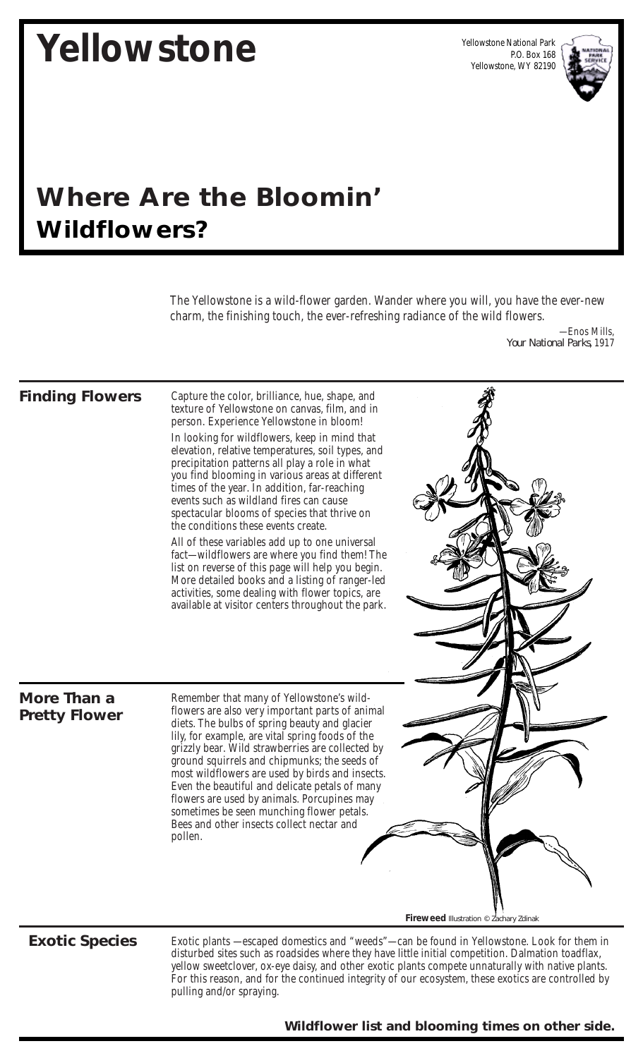# **Yellowstone**

Yellowstone National Park P.O. Box 168 Yellowstone, WY 82190



## *Where Are the Bloomin' Wildflowers?*

The Yellowstone is a wild-flower garden. Wander where you will, you have the ever-new charm, the finishing touch, the ever-refreshing radiance of the wild flowers.

> —Enos Mills, *Your National Parks,* 1917

#### **Finding Flowers**

Capture the color, brilliance, hue, shape, and texture of Yellowstone on canvas, film, and in person. Experience Yellowstone in bloom!

In looking for wildflowers, keep in mind that elevation, relative temperatures, soil types, and precipitation patterns all play a role in what you find blooming in various areas at different times of the year. In addition, far-reaching events such as wildland fires can cause spectacular blooms of species that thrive on the conditions these events create.

All of these variables add up to one universal fact—wildflowers are where you find them! The list on reverse of this page will help you begin. More detailed books and a listing of ranger-led activities, some dealing with flower topics, are available at visitor centers throughout the park.

#### **More Than a Pretty Flower**

Remember that many of Yellowstone's wildflowers are also very important parts of animal diets. The bulbs of spring beauty and glacier lily, for example, are vital spring foods of the grizzly bear. Wild strawberries are collected by ground squirrels and chipmunks; the seeds of most wildflowers are used by birds and insects. Even the beautiful and delicate petals of many flowers are used by animals. Porcupines may sometimes be seen munching flower petals. Bees and other insects collect nectar and pollen.

### **Exotic Species**

Exotic plants —escaped domestics and "weeds"—can be found in Yellowstone. Look for them in disturbed sites such as roadsides where they have little initial competition. Dalmation toadflax, yellow sweetclover, ox-eye daisy, and other exotic plants compete unnaturally with native plants. For this reason, and for the continued integrity of our ecosystem, these exotics are controlled by pulling and/or spraying.

**Fireweed** *Illustration © Zachary Zdinak*